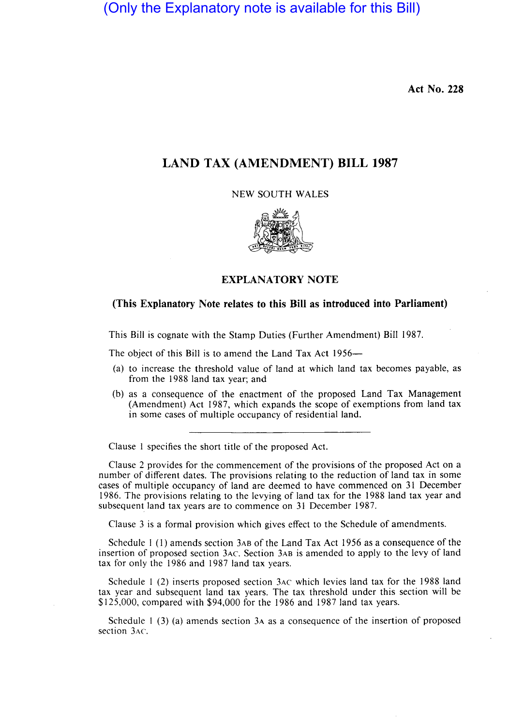(Only the Explanatory note is available for this Bill)

Act No. 228

## LAND TAX (AMENDMENT) **BILL** 1987

NEW SOUTH WALES



## EXPLANATORY NOTE

## (This Explanatory Note relates to this Bill as introduced into Parliament)

This Bill is cognate with the Stamp Duties (Further Amendment) Bill 1987.

The object of this Bill is to amend the Land Tax Act 1956—

- (a) to increase the threshold value of land at which land tax becomes payable, as from the 1988 land tax year; and
- (b) as a consequence of the enactment of the proposed Land Tax Management (Amendment) Act 1987, which expands the scope of exemptions from land tax in some cases of multiple occupancy of residential land.

Clause 1 specifies the short title of the proposed Act.

Clause 2 provides for the commencement of the provisions of the proposed Act on a number of different dates. The provisions relating to the reduction of land tax in some cases of multiple occupancy of land are deemed to have commenced on 31 December 1986. The provisions relating to the levying of land tax for the 1988 land tax year and subsequent land tax years are to commence on 31 December 1987.

Clause 3 is a formal provision which gives effect to the Schedule of amendments.

Schedule I (I) amends section 3AB of the Land Tax Act 1956 as a consequence of the insertion of proposed section 3AC. Section 3AB is amended to apply to the levy of land tax for only the 1986 and 1987 land tax years.

Schedule 1 (2) inserts proposed section 3AC which levies land tax for the 1988 land tax year and subsequent land tax years. The tax threshold under this section will be \$125,000, compared with \$94,000 for the 1986 and 1987 land tax years.

Schedule I (3) (a) amends section 3A as a consequence of the insertion of proposed section 3AC.